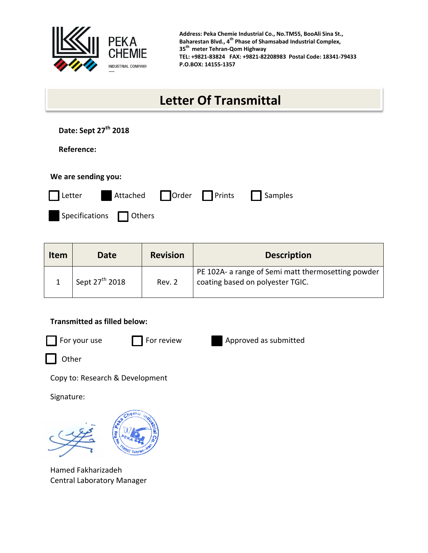

**Address: Peka Chemie Industrial Co., No.TM55, BooAli Sina St., Baharestan Blvd., 4th Phase of Shamsabad Industrial Complex, 35th meter Tehran-Qom Highway TEL: +9821-83824 FAX: +9821-82208983 Postal Code: 18341-79433 P.O.BOX: 14155-1357**

## **Letter Of Transmittal**

| Date: Sept 27 <sup>th</sup> 2018 |  |  |
|----------------------------------|--|--|
|----------------------------------|--|--|

 **Reference:**

| We are sending you: |                         |                           |  |         |  |  |  |  |
|---------------------|-------------------------|---------------------------|--|---------|--|--|--|--|
| $\vert$ Letter      |                         | Attached   Order   Prints |  | Samples |  |  |  |  |
|                     | Specifications   Others |                           |  |         |  |  |  |  |

| <b>Item</b> | Date                       | <b>Revision</b> | <b>Description</b>                                                                     |
|-------------|----------------------------|-----------------|----------------------------------------------------------------------------------------|
|             | Sept 27 <sup>th</sup> 2018 | Rev. 2          | PE 102A- a range of Semi matt thermosetting powder<br>coating based on polyester TGIC. |

## **Transmitted as filled below:**





Other

Copy to: Research & Development

Signature:



Hamed Fakharizadeh Central Laboratory Manager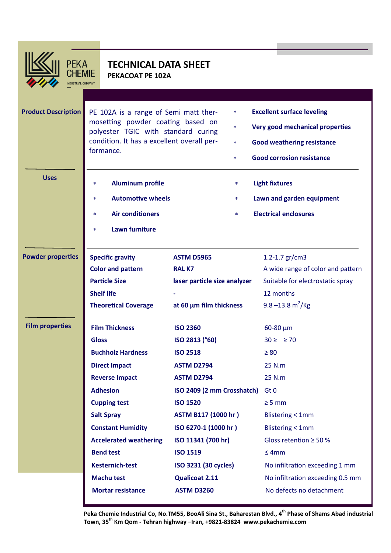

**PEKA** CHEMIE NDUSTRIAL COMPANY

## **TECHNICAL DATA SHEET PEKACOAT PE 102A**

| <b>Product Description</b> | PE 102A is a range of Semi matt ther-<br>*<br>mosetting powder coating based on<br>*<br>polyester TGIC with standard curing<br>condition. It has a excellent overall per-<br>$\ast$<br>formance.<br>$\ast$ |                              | <b>Excellent surface leveling</b><br>Very good mechanical properties<br><b>Good weathering resistance</b><br><b>Good corrosion resistance</b> |                                   |
|----------------------------|------------------------------------------------------------------------------------------------------------------------------------------------------------------------------------------------------------|------------------------------|-----------------------------------------------------------------------------------------------------------------------------------------------|-----------------------------------|
| <b>Uses</b>                | <b>Aluminum profile</b><br>$\ast$                                                                                                                                                                          |                              | *                                                                                                                                             | <b>Light fixtures</b>             |
|                            | <b>Automotive wheels</b><br>$\ast$                                                                                                                                                                         |                              | *                                                                                                                                             | Lawn and garden equipment         |
|                            | <b>Air conditioners</b><br>$\ast$                                                                                                                                                                          |                              | *                                                                                                                                             | <b>Electrical enclosures</b>      |
|                            |                                                                                                                                                                                                            |                              |                                                                                                                                               |                                   |
|                            | <b>Lawn furniture</b><br>$\ast$                                                                                                                                                                            |                              |                                                                                                                                               |                                   |
| <b>Powder properties</b>   | <b>Specific gravity</b>                                                                                                                                                                                    | <b>ASTM D5965</b>            |                                                                                                                                               | 1.2-1.7 $gr/cm3$                  |
|                            | <b>Color and pattern</b>                                                                                                                                                                                   | <b>RALK7</b>                 |                                                                                                                                               | A wide range of color and pattern |
|                            | <b>Particle Size</b>                                                                                                                                                                                       | laser particle size analyzer |                                                                                                                                               | Suitable for electrostatic spray  |
|                            | <b>Shelf life</b>                                                                                                                                                                                          |                              |                                                                                                                                               | 12 months                         |
|                            | <b>Theoretical Coverage</b>                                                                                                                                                                                | at 60 $\mu$ m film thickness |                                                                                                                                               | 9.8 $-13.8 \text{ m}^2/\text{Kg}$ |
| <b>Film properties</b>     | <b>Film Thickness</b>                                                                                                                                                                                      | <b>ISO 2360</b>              |                                                                                                                                               | $60 - 80 \mu m$                   |
|                            | <b>Gloss</b>                                                                                                                                                                                               | ISO 2813 (°60)               |                                                                                                                                               | $30 \geq 270$                     |
|                            | <b>Buchholz Hardness</b>                                                                                                                                                                                   | <b>ISO 2518</b>              |                                                                                                                                               | $\geq 80$                         |
|                            | <b>Direct Impact</b>                                                                                                                                                                                       | <b>ASTM D2794</b>            |                                                                                                                                               | 25 N.m                            |
|                            | <b>Reverse Impact</b>                                                                                                                                                                                      | <b>ASTM D2794</b>            |                                                                                                                                               | 25 N.m                            |
|                            | <b>Adhesion</b>                                                                                                                                                                                            | ISO 2409 (2 mm Crosshatch)   |                                                                                                                                               | Gt 0                              |
|                            | <b>Cupping test</b>                                                                                                                                                                                        | <b>ISO 1520</b>              |                                                                                                                                               | $\geq$ 5 mm                       |
|                            | <b>Salt Spray</b>                                                                                                                                                                                          | ASTM B117 (1000 hr)          |                                                                                                                                               | <b>Blistering &lt; 1mm</b>        |
|                            | <b>Constant Humidity</b>                                                                                                                                                                                   | ISO 6270-1 (1000 hr)         |                                                                                                                                               | <b>Blistering &lt; 1mm</b>        |
|                            | <b>Accelerated weathering</b>                                                                                                                                                                              | ISO 11341 (700 hr)           |                                                                                                                                               | Gloss retention $\geq$ 50 %       |
|                            | <b>Bend test</b>                                                                                                                                                                                           | <b>ISO 1519</b>              |                                                                                                                                               | $\leq$ 4mm                        |
|                            | <b>Kesternich-test</b>                                                                                                                                                                                     | ISO 3231 (30 cycles)         |                                                                                                                                               | No infiltration exceeding 1 mm    |
|                            | <b>Machu test</b>                                                                                                                                                                                          | <b>Qualicoat 2.11</b>        |                                                                                                                                               | No infiltration exceeding 0.5 mm  |
|                            | <b>Mortar resistance</b>                                                                                                                                                                                   | <b>ASTM D3260</b>            |                                                                                                                                               | No defects no detachment          |

**Peka Chemie Industrial Co, No.TM55, BooAli Sina St., Baharestan Blvd., 4th Phase of Shams Abad industrial Town, 35th Km Qom - Tehran highway –Iran, +9821-83824 www.pekachemie.com**